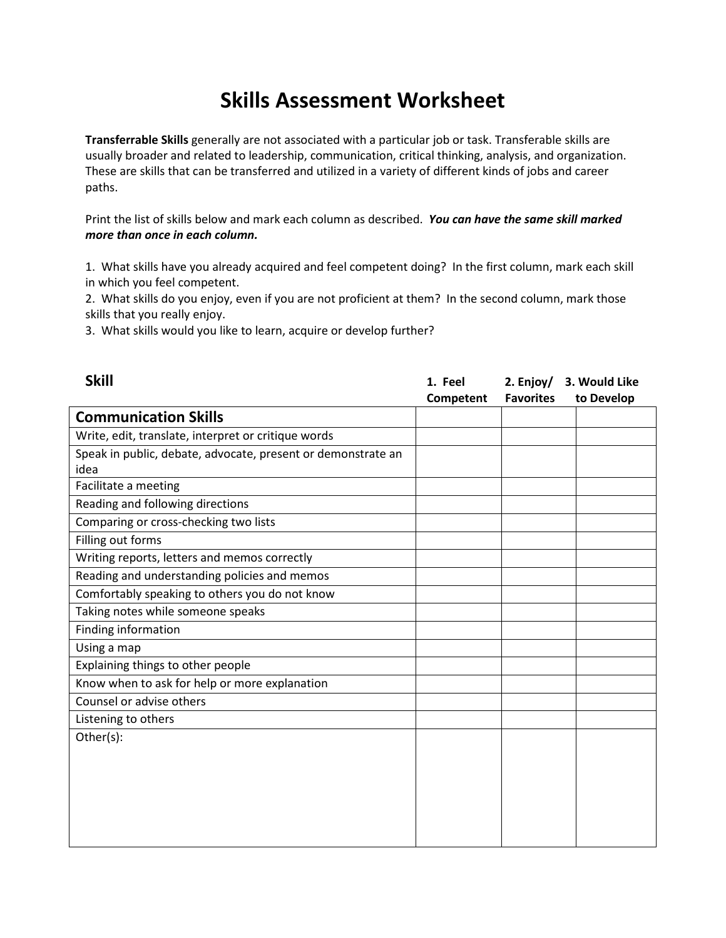## Skills Assessment Worksheet

Transferrable Skills generally are not associated with a particular job or task. Transferable skills are usually broader and related to leadership, communication, critical thinking, analysis, and organization. These are skills that can be transferred and utilized in a variety of different kinds of jobs and career paths.

Print the list of skills below and mark each column as described. You can have the same skill marked more than once in each column.

1. What skills have you already acquired and feel competent doing? In the first column, mark each skill in which you feel competent.

2. What skills do you enjoy, even if you are not proficient at them? In the second column, mark those skills that you really enjoy.

3. What skills would you like to learn, acquire or develop further?

| <b>Skill</b>                                                 | 1. Feel<br>Competent | 2. Enjoy/<br><b>Favorites</b> | 3. Would Like<br>to Develop |
|--------------------------------------------------------------|----------------------|-------------------------------|-----------------------------|
| <b>Communication Skills</b>                                  |                      |                               |                             |
| Write, edit, translate, interpret or critique words          |                      |                               |                             |
| Speak in public, debate, advocate, present or demonstrate an |                      |                               |                             |
| idea                                                         |                      |                               |                             |
| Facilitate a meeting                                         |                      |                               |                             |
| Reading and following directions                             |                      |                               |                             |
| Comparing or cross-checking two lists                        |                      |                               |                             |
| Filling out forms                                            |                      |                               |                             |
| Writing reports, letters and memos correctly                 |                      |                               |                             |
| Reading and understanding policies and memos                 |                      |                               |                             |
| Comfortably speaking to others you do not know               |                      |                               |                             |
| Taking notes while someone speaks                            |                      |                               |                             |
| Finding information                                          |                      |                               |                             |
| Using a map                                                  |                      |                               |                             |
| Explaining things to other people                            |                      |                               |                             |
| Know when to ask for help or more explanation                |                      |                               |                             |
| Counsel or advise others                                     |                      |                               |                             |
| Listening to others                                          |                      |                               |                             |
| Other(s):                                                    |                      |                               |                             |
|                                                              |                      |                               |                             |
|                                                              |                      |                               |                             |
|                                                              |                      |                               |                             |
|                                                              |                      |                               |                             |
|                                                              |                      |                               |                             |
|                                                              |                      |                               |                             |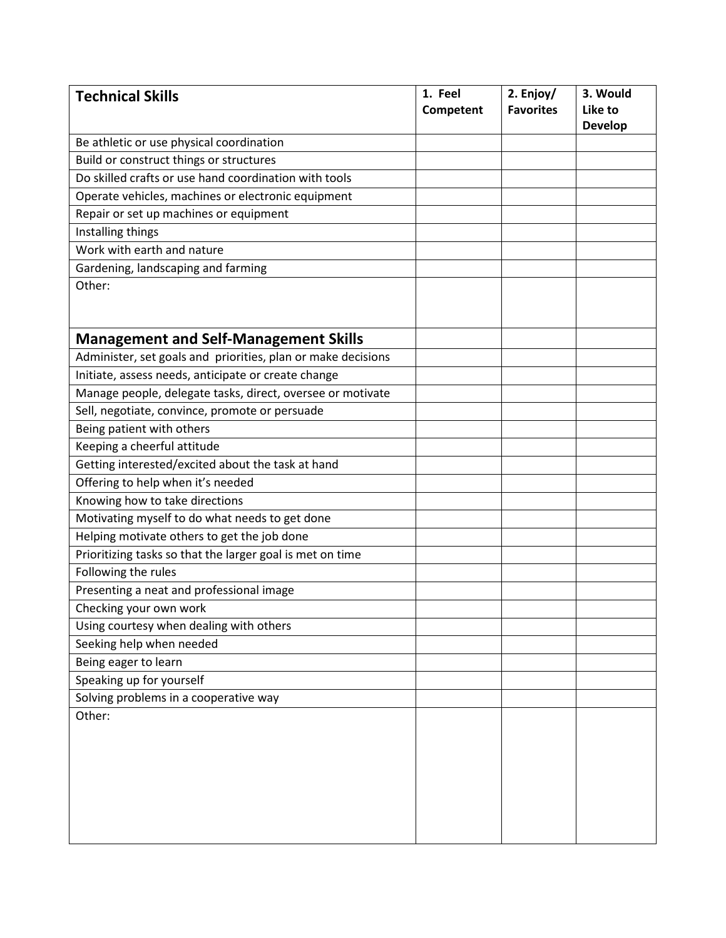| <b>Technical Skills</b>                                      | 1. Feel<br>Competent | 2. Enjoy/<br><b>Favorites</b> | 3. Would<br>Like to<br><b>Develop</b> |
|--------------------------------------------------------------|----------------------|-------------------------------|---------------------------------------|
| Be athletic or use physical coordination                     |                      |                               |                                       |
| Build or construct things or structures                      |                      |                               |                                       |
| Do skilled crafts or use hand coordination with tools        |                      |                               |                                       |
| Operate vehicles, machines or electronic equipment           |                      |                               |                                       |
| Repair or set up machines or equipment                       |                      |                               |                                       |
| Installing things                                            |                      |                               |                                       |
| Work with earth and nature                                   |                      |                               |                                       |
| Gardening, landscaping and farming                           |                      |                               |                                       |
| Other:                                                       |                      |                               |                                       |
| <b>Management and Self-Management Skills</b>                 |                      |                               |                                       |
| Administer, set goals and priorities, plan or make decisions |                      |                               |                                       |
| Initiate, assess needs, anticipate or create change          |                      |                               |                                       |
| Manage people, delegate tasks, direct, oversee or motivate   |                      |                               |                                       |
| Sell, negotiate, convince, promote or persuade               |                      |                               |                                       |
| Being patient with others                                    |                      |                               |                                       |
| Keeping a cheerful attitude                                  |                      |                               |                                       |
| Getting interested/excited about the task at hand            |                      |                               |                                       |
| Offering to help when it's needed                            |                      |                               |                                       |
| Knowing how to take directions                               |                      |                               |                                       |
| Motivating myself to do what needs to get done               |                      |                               |                                       |
| Helping motivate others to get the job done                  |                      |                               |                                       |
| Prioritizing tasks so that the larger goal is met on time    |                      |                               |                                       |
| Following the rules                                          |                      |                               |                                       |
| Presenting a neat and professional image                     |                      |                               |                                       |
| Checking your own work                                       |                      |                               |                                       |
| Using courtesy when dealing with others                      |                      |                               |                                       |
| Seeking help when needed                                     |                      |                               |                                       |
| Being eager to learn                                         |                      |                               |                                       |
| Speaking up for yourself                                     |                      |                               |                                       |
| Solving problems in a cooperative way                        |                      |                               |                                       |
| Other:                                                       |                      |                               |                                       |
|                                                              |                      |                               |                                       |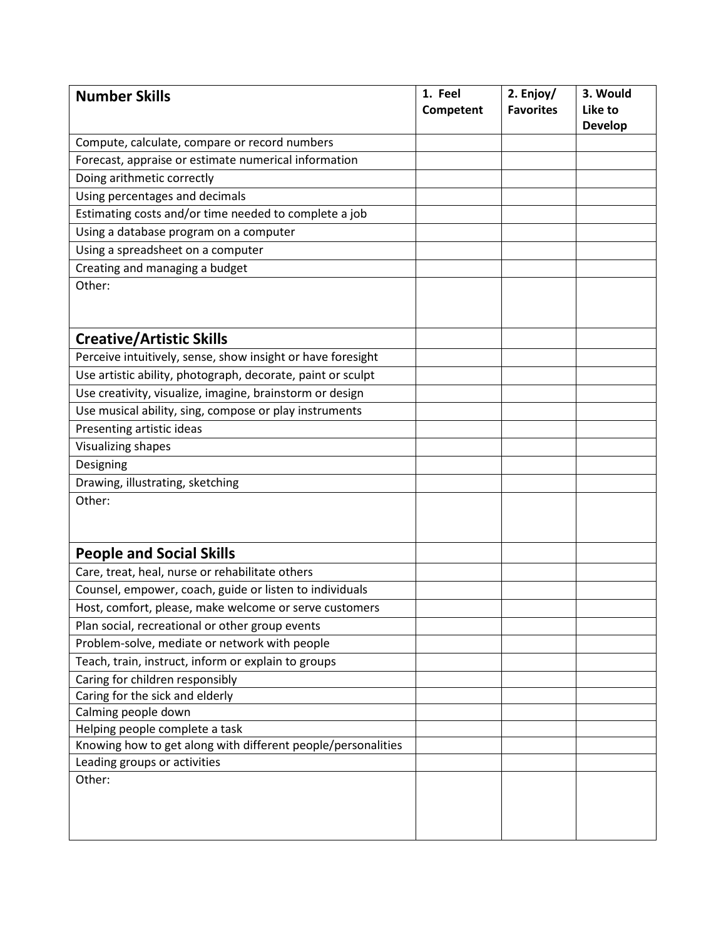| <b>Number Skills</b>                                         | 1. Feel<br>Competent | 2. Enjoy/<br><b>Favorites</b> | 3. Would<br>Like to<br><b>Develop</b> |
|--------------------------------------------------------------|----------------------|-------------------------------|---------------------------------------|
| Compute, calculate, compare or record numbers                |                      |                               |                                       |
| Forecast, appraise or estimate numerical information         |                      |                               |                                       |
| Doing arithmetic correctly                                   |                      |                               |                                       |
| Using percentages and decimals                               |                      |                               |                                       |
| Estimating costs and/or time needed to complete a job        |                      |                               |                                       |
| Using a database program on a computer                       |                      |                               |                                       |
| Using a spreadsheet on a computer                            |                      |                               |                                       |
| Creating and managing a budget                               |                      |                               |                                       |
| Other:                                                       |                      |                               |                                       |
| <b>Creative/Artistic Skills</b>                              |                      |                               |                                       |
| Perceive intuitively, sense, show insight or have foresight  |                      |                               |                                       |
| Use artistic ability, photograph, decorate, paint or sculpt  |                      |                               |                                       |
| Use creativity, visualize, imagine, brainstorm or design     |                      |                               |                                       |
| Use musical ability, sing, compose or play instruments       |                      |                               |                                       |
| Presenting artistic ideas                                    |                      |                               |                                       |
| Visualizing shapes                                           |                      |                               |                                       |
| Designing                                                    |                      |                               |                                       |
| Drawing, illustrating, sketching                             |                      |                               |                                       |
| Other:                                                       |                      |                               |                                       |
| <b>People and Social Skills</b>                              |                      |                               |                                       |
| Care, treat, heal, nurse or rehabilitate others              |                      |                               |                                       |
| Counsel, empower, coach, guide or listen to individuals      |                      |                               |                                       |
| Host, comfort, please, make welcome or serve customers       |                      |                               |                                       |
| Plan social, recreational or other group events              |                      |                               |                                       |
| Problem-solve, mediate or network with people                |                      |                               |                                       |
| Teach, train, instruct, inform or explain to groups          |                      |                               |                                       |
| Caring for children responsibly                              |                      |                               |                                       |
| Caring for the sick and elderly                              |                      |                               |                                       |
| Calming people down                                          |                      |                               |                                       |
| Helping people complete a task                               |                      |                               |                                       |
| Knowing how to get along with different people/personalities |                      |                               |                                       |
| Leading groups or activities                                 |                      |                               |                                       |
| Other:                                                       |                      |                               |                                       |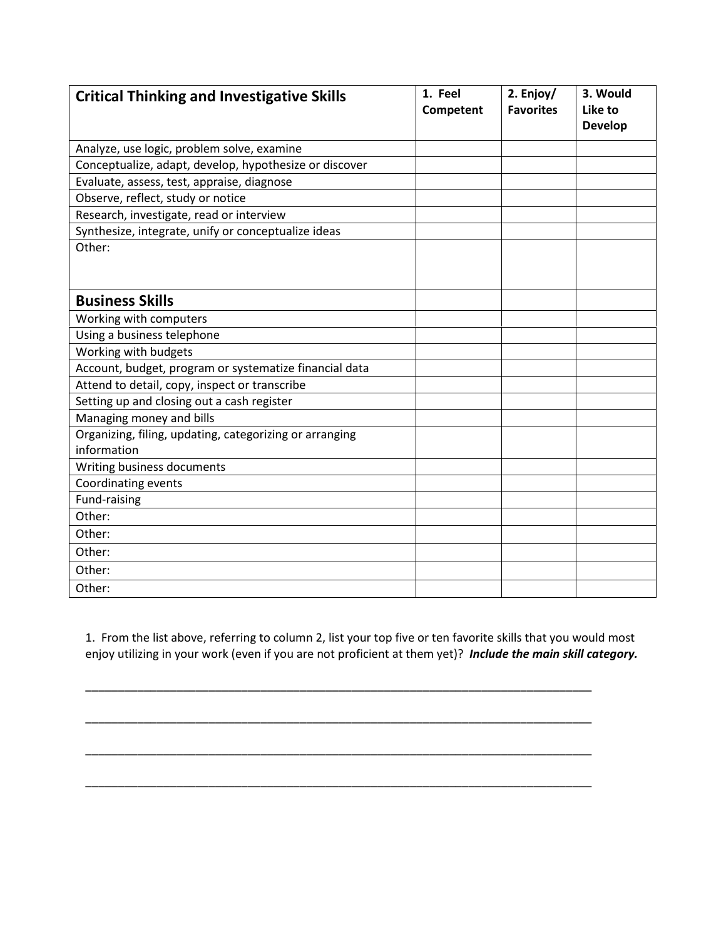| <b>Critical Thinking and Investigative Skills</b>       | 1. Feel<br>Competent | 2. Enjoy/<br><b>Favorites</b> | 3. Would<br>Like to<br><b>Develop</b> |
|---------------------------------------------------------|----------------------|-------------------------------|---------------------------------------|
| Analyze, use logic, problem solve, examine              |                      |                               |                                       |
| Conceptualize, adapt, develop, hypothesize or discover  |                      |                               |                                       |
| Evaluate, assess, test, appraise, diagnose              |                      |                               |                                       |
| Observe, reflect, study or notice                       |                      |                               |                                       |
| Research, investigate, read or interview                |                      |                               |                                       |
| Synthesize, integrate, unify or conceptualize ideas     |                      |                               |                                       |
| Other:                                                  |                      |                               |                                       |
| <b>Business Skills</b>                                  |                      |                               |                                       |
| Working with computers                                  |                      |                               |                                       |
| Using a business telephone                              |                      |                               |                                       |
| Working with budgets                                    |                      |                               |                                       |
| Account, budget, program or systematize financial data  |                      |                               |                                       |
| Attend to detail, copy, inspect or transcribe           |                      |                               |                                       |
| Setting up and closing out a cash register              |                      |                               |                                       |
| Managing money and bills                                |                      |                               |                                       |
| Organizing, filing, updating, categorizing or arranging |                      |                               |                                       |
| information                                             |                      |                               |                                       |
| Writing business documents                              |                      |                               |                                       |
| Coordinating events                                     |                      |                               |                                       |
| Fund-raising                                            |                      |                               |                                       |
| Other:                                                  |                      |                               |                                       |
| Other:                                                  |                      |                               |                                       |
| Other:                                                  |                      |                               |                                       |
| Other:                                                  |                      |                               |                                       |
| Other:                                                  |                      |                               |                                       |

1. From the list above, referring to column 2, list your top five or ten favorite skills that you would most enjoy utilizing in your work (even if you are not proficient at them yet)? Include the main skill category.

\_\_\_\_\_\_\_\_\_\_\_\_\_\_\_\_\_\_\_\_\_\_\_\_\_\_\_\_\_\_\_\_\_\_\_\_\_\_\_\_\_\_\_\_\_\_\_\_\_\_\_\_\_\_\_\_\_\_\_\_\_\_\_\_\_\_\_\_\_\_\_\_\_\_\_\_\_\_

\_\_\_\_\_\_\_\_\_\_\_\_\_\_\_\_\_\_\_\_\_\_\_\_\_\_\_\_\_\_\_\_\_\_\_\_\_\_\_\_\_\_\_\_\_\_\_\_\_\_\_\_\_\_\_\_\_\_\_\_\_\_\_\_\_\_\_\_\_\_\_\_\_\_\_\_\_\_

\_\_\_\_\_\_\_\_\_\_\_\_\_\_\_\_\_\_\_\_\_\_\_\_\_\_\_\_\_\_\_\_\_\_\_\_\_\_\_\_\_\_\_\_\_\_\_\_\_\_\_\_\_\_\_\_\_\_\_\_\_\_\_\_\_\_\_\_\_\_\_\_\_\_\_\_\_\_

\_\_\_\_\_\_\_\_\_\_\_\_\_\_\_\_\_\_\_\_\_\_\_\_\_\_\_\_\_\_\_\_\_\_\_\_\_\_\_\_\_\_\_\_\_\_\_\_\_\_\_\_\_\_\_\_\_\_\_\_\_\_\_\_\_\_\_\_\_\_\_\_\_\_\_\_\_\_